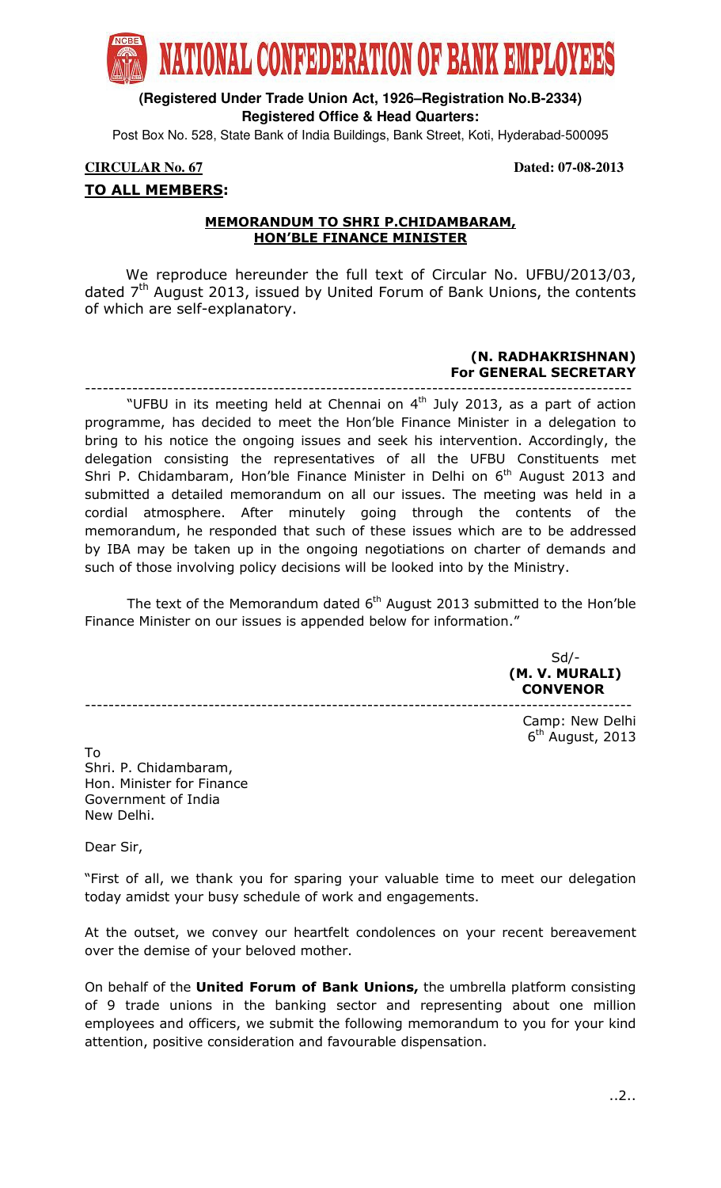

# **(Registered Under Trade Union Act, 1926–Registration No.B-2334) Registered Office & Head Quarters:**

Post Box No. 528, State Bank of India Buildings, Bank Street, Koti, Hyderabad-500095

## **CIRCULAR No. 67 Dated: 07-08-2013**  TO ALL MEMBERS:

### MEMORANDUM TO SHRI P.CHIDAMBARAM, HON'BLE FINANCE MINISTER

 We reproduce hereunder the full text of Circular No. UFBU/2013/03, dated  $7<sup>th</sup>$  August 2013, issued by United Forum of Bank Unions, the contents of which are self-explanatory.

#### (N. RADHAKRISHNAN) For GENERAL SECRETARY

--------------------------------------------------------------------------------------------- "UFBU in its meeting held at Chennai on  $4<sup>th</sup>$  July 2013, as a part of action programme, has decided to meet the Hon'ble Finance Minister in a delegation to bring to his notice the ongoing issues and seek his intervention. Accordingly, the delegation consisting the representatives of all the UFBU Constituents met Shri P. Chidambaram, Hon'ble Finance Minister in Delhi on  $6<sup>th</sup>$  August 2013 and submitted a detailed memorandum on all our issues. The meeting was held in a cordial atmosphere. After minutely going through the contents of the memorandum, he responded that such of these issues which are to be addressed by IBA may be taken up in the ongoing negotiations on charter of demands and such of those involving policy decisions will be looked into by the Ministry.

The text of the Memorandum dated  $6<sup>th</sup>$  August 2013 submitted to the Hon'ble Finance Minister on our issues is appended below for information."

 Sd/- (M. V. MURALI) **CONVENOR** 

> Camp: New Delhi 6<sup>th</sup> August, 2013

To Shri. P. Chidambaram, Hon. Minister for Finance Government of India New Delhi.

---------------------------------------------------------------------------------------------

Dear Sir,

"First of all, we thank you for sparing your valuable time to meet our delegation today amidst your busy schedule of work and engagements.

At the outset, we convey our heartfelt condolences on your recent bereavement over the demise of your beloved mother.

On behalf of the United Forum of Bank Unions, the umbrella platform consisting of 9 trade unions in the banking sector and representing about one million employees and officers, we submit the following memorandum to you for your kind attention, positive consideration and favourable dispensation.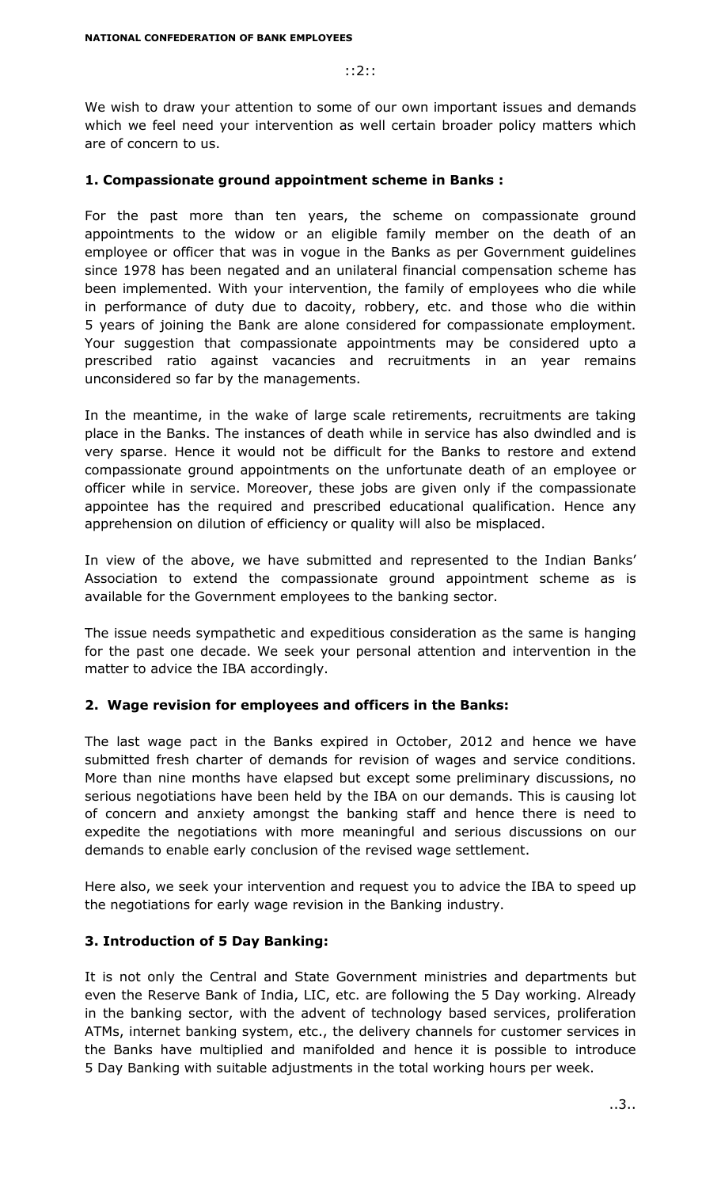#### ::2::

We wish to draw your attention to some of our own important issues and demands which we feel need your intervention as well certain broader policy matters which are of concern to us.

#### 1. Compassionate ground appointment scheme in Banks :

For the past more than ten years, the scheme on compassionate ground appointments to the widow or an eligible family member on the death of an employee or officer that was in vogue in the Banks as per Government guidelines since 1978 has been negated and an unilateral financial compensation scheme has been implemented. With your intervention, the family of employees who die while in performance of duty due to dacoity, robbery, etc. and those who die within 5 years of joining the Bank are alone considered for compassionate employment. Your suggestion that compassionate appointments may be considered upto a prescribed ratio against vacancies and recruitments in an year remains unconsidered so far by the managements.

In the meantime, in the wake of large scale retirements, recruitments are taking place in the Banks. The instances of death while in service has also dwindled and is very sparse. Hence it would not be difficult for the Banks to restore and extend compassionate ground appointments on the unfortunate death of an employee or officer while in service. Moreover, these jobs are given only if the compassionate appointee has the required and prescribed educational qualification. Hence any apprehension on dilution of efficiency or quality will also be misplaced.

In view of the above, we have submitted and represented to the Indian Banks' Association to extend the compassionate ground appointment scheme as is available for the Government employees to the banking sector.

The issue needs sympathetic and expeditious consideration as the same is hanging for the past one decade. We seek your personal attention and intervention in the matter to advice the IBA accordingly.

## 2. Wage revision for employees and officers in the Banks:

The last wage pact in the Banks expired in October, 2012 and hence we have submitted fresh charter of demands for revision of wages and service conditions. More than nine months have elapsed but except some preliminary discussions, no serious negotiations have been held by the IBA on our demands. This is causing lot of concern and anxiety amongst the banking staff and hence there is need to expedite the negotiations with more meaningful and serious discussions on our demands to enable early conclusion of the revised wage settlement.

Here also, we seek your intervention and request you to advice the IBA to speed up the negotiations for early wage revision in the Banking industry.

## 3. Introduction of 5 Day Banking:

It is not only the Central and State Government ministries and departments but even the Reserve Bank of India, LIC, etc. are following the 5 Day working. Already in the banking sector, with the advent of technology based services, proliferation ATMs, internet banking system, etc., the delivery channels for customer services in the Banks have multiplied and manifolded and hence it is possible to introduce 5 Day Banking with suitable adjustments in the total working hours per week.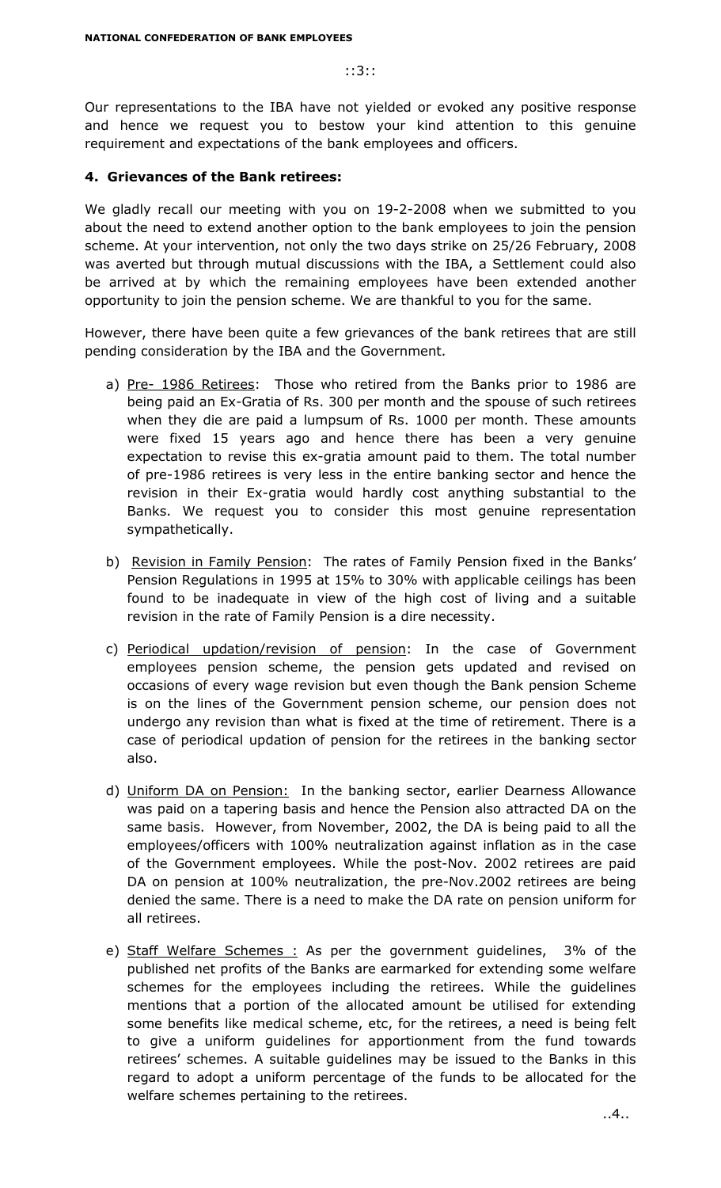#### ::3::

Our representations to the IBA have not yielded or evoked any positive response and hence we request you to bestow your kind attention to this genuine requirement and expectations of the bank employees and officers.

#### 4. Grievances of the Bank retirees:

We gladly recall our meeting with you on 19-2-2008 when we submitted to you about the need to extend another option to the bank employees to join the pension scheme. At your intervention, not only the two days strike on 25/26 February, 2008 was averted but through mutual discussions with the IBA, a Settlement could also be arrived at by which the remaining employees have been extended another opportunity to join the pension scheme. We are thankful to you for the same.

However, there have been quite a few grievances of the bank retirees that are still pending consideration by the IBA and the Government.

- a) Pre- 1986 Retirees: Those who retired from the Banks prior to 1986 are being paid an Ex-Gratia of Rs. 300 per month and the spouse of such retirees when they die are paid a lumpsum of Rs. 1000 per month. These amounts were fixed 15 years ago and hence there has been a very genuine expectation to revise this ex-gratia amount paid to them. The total number of pre-1986 retirees is very less in the entire banking sector and hence the revision in their Ex-gratia would hardly cost anything substantial to the Banks. We request you to consider this most genuine representation sympathetically.
- b) Revision in Family Pension: The rates of Family Pension fixed in the Banks' Pension Regulations in 1995 at 15% to 30% with applicable ceilings has been found to be inadequate in view of the high cost of living and a suitable revision in the rate of Family Pension is a dire necessity.
- c) Periodical updation/revision of pension: In the case of Government employees pension scheme, the pension gets updated and revised on occasions of every wage revision but even though the Bank pension Scheme is on the lines of the Government pension scheme, our pension does not undergo any revision than what is fixed at the time of retirement. There is a case of periodical updation of pension for the retirees in the banking sector also.
- d) Uniform DA on Pension: In the banking sector, earlier Dearness Allowance was paid on a tapering basis and hence the Pension also attracted DA on the same basis. However, from November, 2002, the DA is being paid to all the employees/officers with 100% neutralization against inflation as in the case of the Government employees. While the post-Nov. 2002 retirees are paid DA on pension at 100% neutralization, the pre-Nov.2002 retirees are being denied the same. There is a need to make the DA rate on pension uniform for all retirees.
- e) Staff Welfare Schemes : As per the government guidelines, 3% of the published net profits of the Banks are earmarked for extending some welfare schemes for the employees including the retirees. While the guidelines mentions that a portion of the allocated amount be utilised for extending some benefits like medical scheme, etc, for the retirees, a need is being felt to give a uniform guidelines for apportionment from the fund towards retirees' schemes. A suitable guidelines may be issued to the Banks in this regard to adopt a uniform percentage of the funds to be allocated for the welfare schemes pertaining to the retirees.